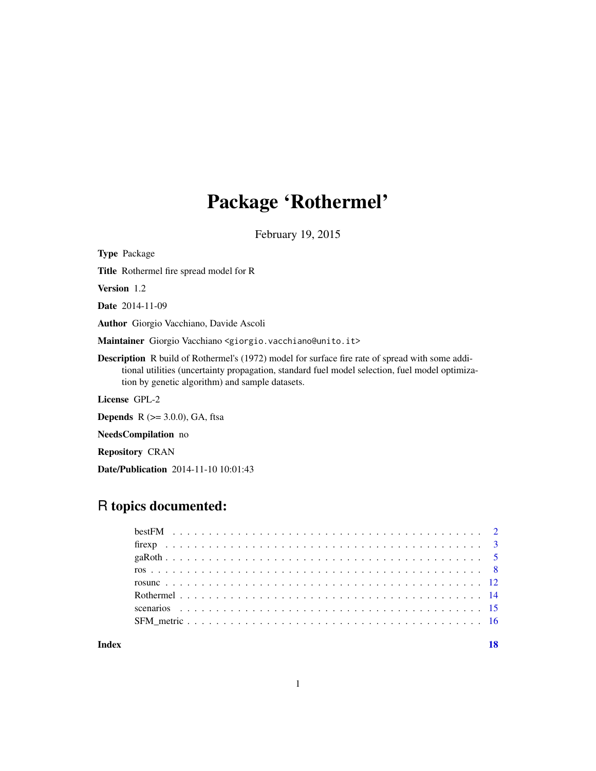## Package 'Rothermel'

February 19, 2015

<span id="page-0-0"></span>Type Package Title Rothermel fire spread model for R Version 1.2 Date 2014-11-09 Author Giorgio Vacchiano, Davide Ascoli Maintainer Giorgio Vacchiano <giorgio.vacchiano@unito.it> Description R build of Rothermel's (1972) model for surface fire rate of spread with some additional utilities (uncertainty propagation, standard fuel model selection, fuel model optimization by genetic algorithm) and sample datasets. License GPL-2 **Depends** R  $(>= 3.0.0)$ , GA, ftsa

NeedsCompilation no

Repository CRAN

Date/Publication 2014-11-10 10:01:43

### R topics documented:

| Index |  |
|-------|--|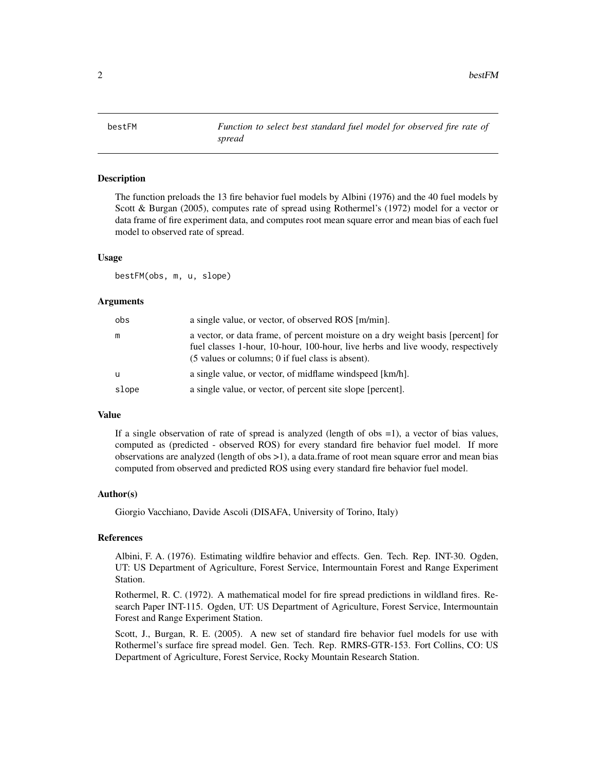<span id="page-1-1"></span><span id="page-1-0"></span>bestFM *Function to select best standard fuel model for observed fire rate of spread*

#### Description

The function preloads the 13 fire behavior fuel models by Albini (1976) and the 40 fuel models by Scott & Burgan (2005), computes rate of spread using Rothermel's (1972) model for a vector or data frame of fire experiment data, and computes root mean square error and mean bias of each fuel model to observed rate of spread.

#### Usage

bestFM(obs, m, u, slope)

#### **Arguments**

| obs      | a single value, or vector, of observed ROS [m/min].                                                                                                                                                                      |
|----------|--------------------------------------------------------------------------------------------------------------------------------------------------------------------------------------------------------------------------|
| m        | a vector, or data frame, of percent moisture on a dry weight basis [percent] for<br>fuel classes 1-hour, 10-hour, 100-hour, live herbs and live woody, respectively<br>(5 values or columns; 0 if fuel class is absent). |
| <b>u</b> | a single value, or vector, of midflame windspeed [km/h].                                                                                                                                                                 |
| slope    | a single value, or vector, of percent site slope [percent].                                                                                                                                                              |

#### Value

If a single observation of rate of spread is analyzed (length of obs =1), a vector of bias values, computed as (predicted - observed ROS) for every standard fire behavior fuel model. If more observations are analyzed (length of obs >1), a data.frame of root mean square error and mean bias computed from observed and predicted ROS using every standard fire behavior fuel model.

#### Author(s)

Giorgio Vacchiano, Davide Ascoli (DISAFA, University of Torino, Italy)

#### **References**

Albini, F. A. (1976). Estimating wildfire behavior and effects. Gen. Tech. Rep. INT-30. Ogden, UT: US Department of Agriculture, Forest Service, Intermountain Forest and Range Experiment Station.

Rothermel, R. C. (1972). A mathematical model for fire spread predictions in wildland fires. Research Paper INT-115. Ogden, UT: US Department of Agriculture, Forest Service, Intermountain Forest and Range Experiment Station.

Scott, J., Burgan, R. E. (2005). A new set of standard fire behavior fuel models for use with Rothermel's surface fire spread model. Gen. Tech. Rep. RMRS-GTR-153. Fort Collins, CO: US Department of Agriculture, Forest Service, Rocky Mountain Research Station.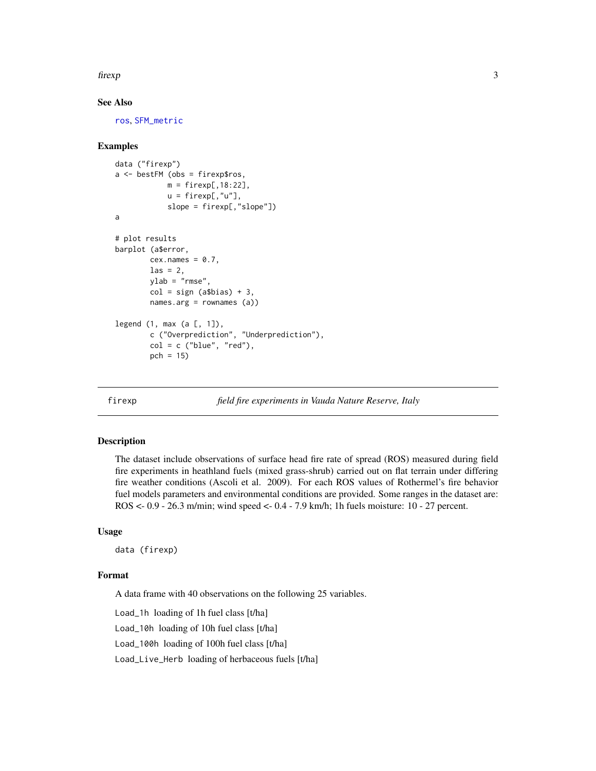#### <span id="page-2-0"></span>firexp 3

### See Also

[ros](#page-7-1), [SFM\\_metric](#page-15-1)

#### Examples

```
data ("firexp")
a \leq - bestFM (obs = firexp$ros,
             m = \text{firexp}[, 18:22],u = firexp[,"u"],
             slope = firexp[,"slope"])
a
# plot results
barplot (a$error,
        cex.names = 0.7,\text{las} = 2.
        ylab = "rmse",
        col = sign (a$bias) + 3,names.arg = rownames (a))
legend (1, max (a <math>\lbrack 1, 1 \rbrack),
        c ("Overprediction", "Underprediction"),
        col = c ("blue", "red"),
        pch = 15)
```
<span id="page-2-1"></span>

#### firexp *field fire experiments in Vauda Nature Reserve, Italy*

#### Description

The dataset include observations of surface head fire rate of spread (ROS) measured during field fire experiments in heathland fuels (mixed grass-shrub) carried out on flat terrain under differing fire weather conditions (Ascoli et al. 2009). For each ROS values of Rothermel's fire behavior fuel models parameters and environmental conditions are provided. Some ranges in the dataset are: ROS <- 0.9 - 26.3 m/min; wind speed <- 0.4 - 7.9 km/h; 1h fuels moisture: 10 - 27 percent.

#### Usage

data (firexp)

#### Format

A data frame with 40 observations on the following 25 variables.

Load\_1h loading of 1h fuel class [t/ha]

Load\_10h loading of 10h fuel class [t/ha]

Load\_100h loading of 100h fuel class [t/ha]

Load\_Live\_Herb loading of herbaceous fuels [t/ha]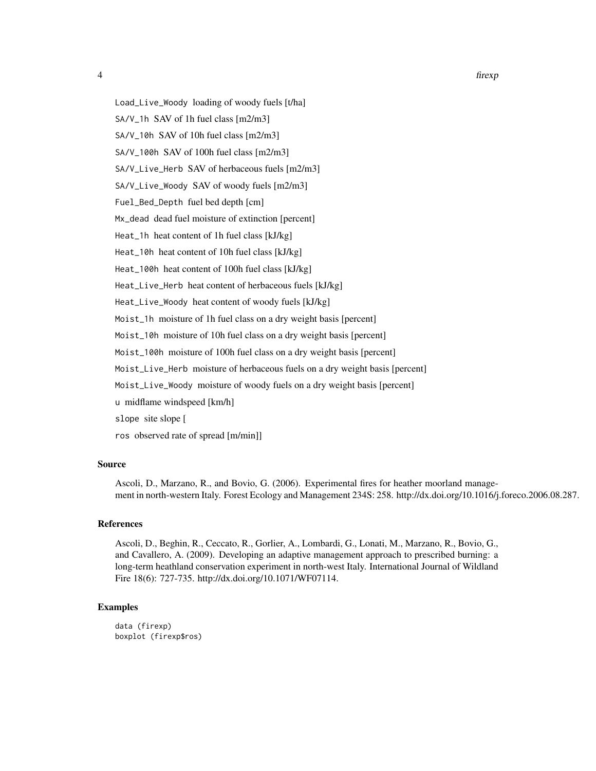Load\_Live\_Woody loading of woody fuels [t/ha]

SA/V\_1h SAV of 1h fuel class [m2/m3]

SA/V\_10h SAV of 10h fuel class [m2/m3]

SA/V\_100h SAV of 100h fuel class [m2/m3]

SA/V\_Live\_Herb SAV of herbaceous fuels [m2/m3]

SA/V\_Live\_Woody SAV of woody fuels [m2/m3]

Fuel\_Bed\_Depth fuel bed depth [cm]

Mx\_dead dead fuel moisture of extinction [percent]

Heat\_1h heat content of 1h fuel class [kJ/kg]

Heat\_10h heat content of 10h fuel class [kJ/kg]

Heat\_100h heat content of 100h fuel class [kJ/kg]

Heat\_Live\_Herb heat content of herbaceous fuels [kJ/kg]

Heat\_Live\_Woody heat content of woody fuels [kJ/kg]

Moist\_1h moisture of 1h fuel class on a dry weight basis [percent]

Moist\_10h moisture of 10h fuel class on a dry weight basis [percent]

Moist\_100h moisture of 100h fuel class on a dry weight basis [percent]

Moist\_Live\_Herb moisture of herbaceous fuels on a dry weight basis [percent]

Moist\_Live\_Woody moisture of woody fuels on a dry weight basis [percent]

u midflame windspeed [km/h]

slope site slope [

ros observed rate of spread [m/min]]

#### Source

Ascoli, D., Marzano, R., and Bovio, G. (2006). Experimental fires for heather moorland management in north-western Italy. Forest Ecology and Management 234S: 258. http://dx.doi.org/10.1016/j.foreco.2006.08.287.

#### References

Ascoli, D., Beghin, R., Ceccato, R., Gorlier, A., Lombardi, G., Lonati, M., Marzano, R., Bovio, G., and Cavallero, A. (2009). Developing an adaptive management approach to prescribed burning: a long-term heathland conservation experiment in north-west Italy. International Journal of Wildland Fire 18(6): 727-735. http://dx.doi.org/10.1071/WF07114.

#### Examples

data (firexp) boxplot (firexp\$ros)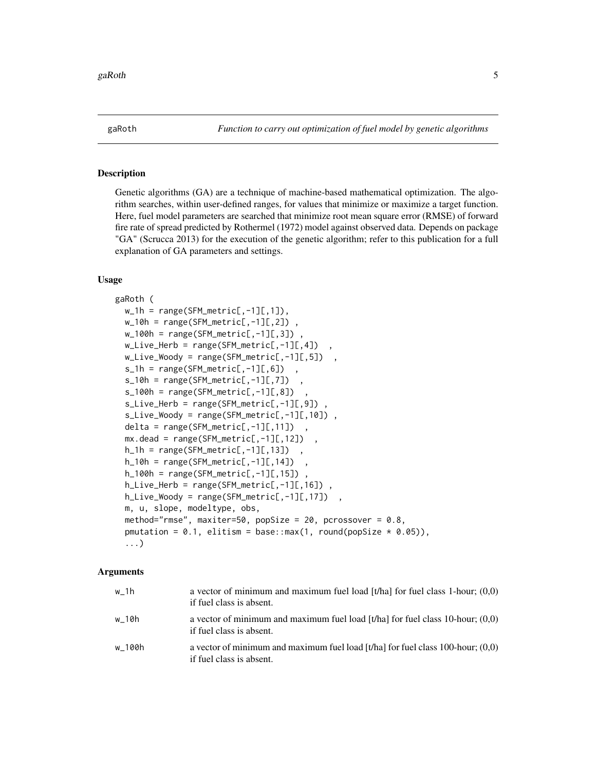<span id="page-4-1"></span><span id="page-4-0"></span>

#### **Description**

Genetic algorithms (GA) are a technique of machine-based mathematical optimization. The algorithm searches, within user-defined ranges, for values that minimize or maximize a target function. Here, fuel model parameters are searched that minimize root mean square error (RMSE) of forward fire rate of spread predicted by Rothermel (1972) model against observed data. Depends on package "GA" (Scrucca 2013) for the execution of the genetic algorithm; refer to this publication for a full explanation of GA parameters and settings.

#### Usage

```
gaRoth (
 w_1h = range(SFM_metric[,-1][,1]),
 w_10h = range(SFM_metric[, -1][,2]),
 w_100h = range(SFM_metric[, -1][,3]),
 w_Live_Herb = range(SFM_metric[,-1][,4])
 w_Live_Woody = range(SFM_metric[,-1][,5])
  s_1h = range(SFM_matrix[, -1][,6])s_10h = range(SFM_metric[, -1][,7])s_100h = range(SFM_matrix[, -1][, 8])s_Live_Herb = range(SFM_metric[,-1][,9]) ,
  s_Live_Woody = range(SFM_metric[,-1][,10]),
  delta = range(SFM_metric[, -1][, 11])mx.dead = range(SFM_metric[, -1][,12]),
 h_1h = range(SFM_matrix[], -1][, 13])
 h_10h = range(SFM_metric[, -1][,14])h_100h = range(SFM_metric[, -1][, 15])h_Live_Herb = range(SFM_metric[,-1][,16]) ,
 h_Live_Woody = range(SFM_metric[,-1][,17]) ,
 m, u, slope, modeltype, obs,
 method="rmse", maxiter=50, popSize = 20, pcrossover = 0.8,
 pmutation = 0.1, elitism = base::max(1, round(popSize * 0.05)),
  ...)
```
#### Arguments

| w 1h   | a vector of minimum and maximum fuel load [t/ha] for fuel class 1-hour; $(0,0)$<br>if fuel class is absent.   |
|--------|---------------------------------------------------------------------------------------------------------------|
| w 10h  | a vector of minimum and maximum fuel load [t/ha] for fuel class 10-hour; $(0,0)$<br>if fuel class is absent.  |
| w 100h | a vector of minimum and maximum fuel load [t/ha] for fuel class 100-hour; $(0,0)$<br>if fuel class is absent. |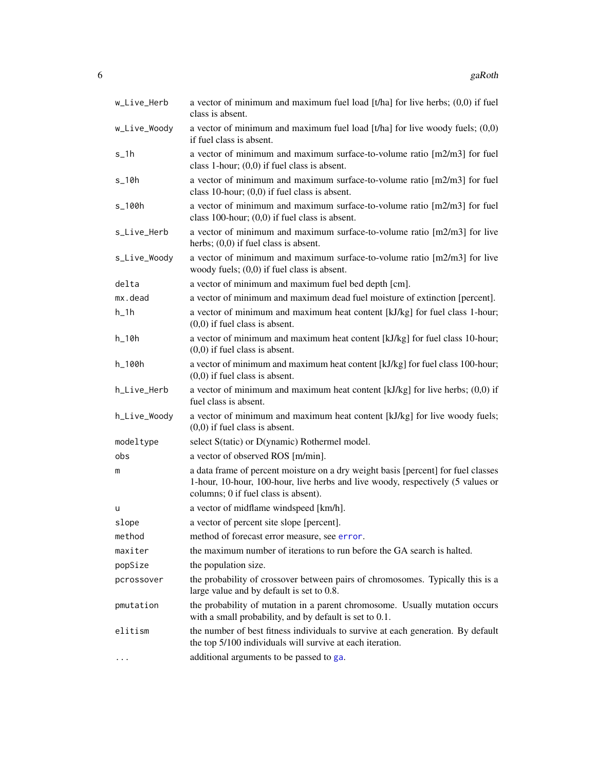<span id="page-5-0"></span>

| w_Live_Herb    | a vector of minimum and maximum fuel load $[t/ha]$ for live herbs; $(0,0)$ if fuel<br>class is absent.                                                                                                       |
|----------------|--------------------------------------------------------------------------------------------------------------------------------------------------------------------------------------------------------------|
| w_Live_Woody   | a vector of minimum and maximum fuel load $[t/ha]$ for live woody fuels; $(0,0)$<br>if fuel class is absent.                                                                                                 |
| $s_1$ h        | a vector of minimum and maximum surface-to-volume ratio [m2/m3] for fuel<br>class 1-hour; $(0,0)$ if fuel class is absent.                                                                                   |
| $s_1$ 10h      | a vector of minimum and maximum surface-to-volume ratio [m2/m3] for fuel<br>class 10-hour; $(0,0)$ if fuel class is absent.                                                                                  |
| s_100h         | a vector of minimum and maximum surface-to-volume ratio [m2/m3] for fuel<br>class 100-hour; $(0,0)$ if fuel class is absent.                                                                                 |
| s_Live_Herb    | a vector of minimum and maximum surface-to-volume ratio [m2/m3] for live<br>herbs; $(0,0)$ if fuel class is absent.                                                                                          |
| s_Live_Woody   | a vector of minimum and maximum surface-to-volume ratio [m2/m3] for live<br>woody fuels; $(0,0)$ if fuel class is absent.                                                                                    |
| delta          | a vector of minimum and maximum fuel bed depth [cm].                                                                                                                                                         |
| mx.dead        | a vector of minimum and maximum dead fuel moisture of extinction [percent].                                                                                                                                  |
| $h_1$          | a vector of minimum and maximum heat content [kJ/kg] for fuel class 1-hour;<br>$(0,0)$ if fuel class is absent.                                                                                              |
| $h_1$ 10 $h_2$ | a vector of minimum and maximum heat content [kJ/kg] for fuel class 10-hour;<br>$(0,0)$ if fuel class is absent.                                                                                             |
| h_100h         | a vector of minimum and maximum heat content [kJ/kg] for fuel class 100-hour;<br>$(0,0)$ if fuel class is absent.                                                                                            |
| h_Live_Herb    | a vector of minimum and maximum heat content [kJ/kg] for live herbs; $(0,0)$ if<br>fuel class is absent.                                                                                                     |
| h_Live_Woody   | a vector of minimum and maximum heat content [kJ/kg] for live woody fuels;<br>$(0,0)$ if fuel class is absent.                                                                                               |
| modeltype      | select S(tatic) or D(ynamic) Rothermel model.                                                                                                                                                                |
| obs            | a vector of observed ROS [m/min].                                                                                                                                                                            |
| m              | a data frame of percent moisture on a dry weight basis [percent] for fuel classes<br>1-hour, 10-hour, 100-hour, live herbs and live woody, respectively (5 values or<br>columns; 0 if fuel class is absent). |
| u              | a vector of midflame windspeed [km/h].                                                                                                                                                                       |
| slope          | a vector of percent site slope [percent].                                                                                                                                                                    |
| method         | method of forecast error measure, see error.                                                                                                                                                                 |
| maxiter        | the maximum number of iterations to run before the GA search is halted.                                                                                                                                      |
| popSize        | the population size.                                                                                                                                                                                         |
| pcrossover     | the probability of crossover between pairs of chromosomes. Typically this is a<br>large value and by default is set to 0.8.                                                                                  |
| pmutation      | the probability of mutation in a parent chromosome. Usually mutation occurs<br>with a small probability, and by default is set to 0.1.                                                                       |
| elitism        | the number of best fitness individuals to survive at each generation. By default<br>the top 5/100 individuals will survive at each iteration.                                                                |
| $\cdots$       | additional arguments to be passed to ga.                                                                                                                                                                     |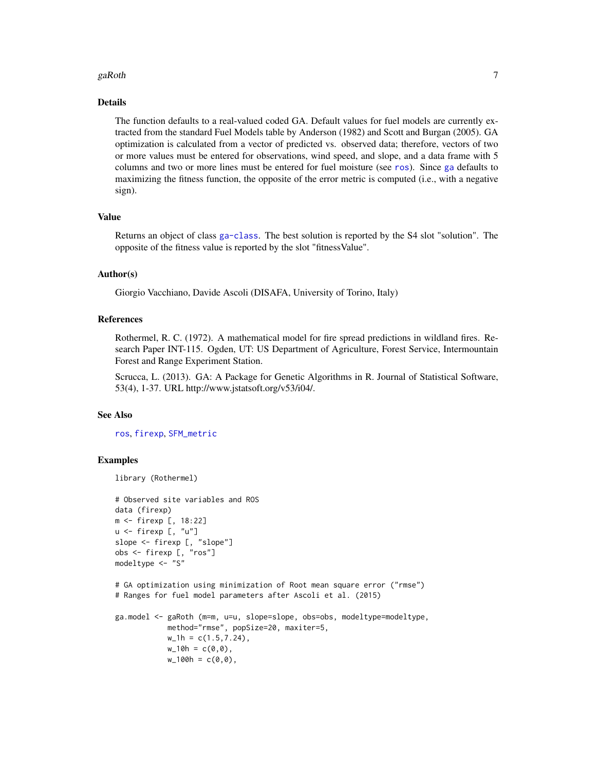#### <span id="page-6-0"></span> $g$ aRoth  $\overline{7}$

#### Details

The function defaults to a real-valued coded GA. Default values for fuel models are currently extracted from the standard Fuel Models table by Anderson (1982) and Scott and Burgan (2005). GA optimization is calculated from a vector of predicted vs. observed data; therefore, vectors of two or more values must be entered for observations, wind speed, and slope, and a data frame with 5 columns and two or more lines must be entered for fuel moisture (see [ros](#page-7-1)). Since [ga](#page-0-0) defaults to maximizing the fitness function, the opposite of the error metric is computed (i.e., with a negative sign).

#### Value

Returns an object of class [ga-class](#page-0-0). The best solution is reported by the S4 slot "solution". The opposite of the fitness value is reported by the slot "fitnessValue".

#### Author(s)

Giorgio Vacchiano, Davide Ascoli (DISAFA, University of Torino, Italy)

#### References

Rothermel, R. C. (1972). A mathematical model for fire spread predictions in wildland fires. Research Paper INT-115. Ogden, UT: US Department of Agriculture, Forest Service, Intermountain Forest and Range Experiment Station.

Scrucca, L. (2013). GA: A Package for Genetic Algorithms in R. Journal of Statistical Software, 53(4), 1-37. URL http://www.jstatsoft.org/v53/i04/.

#### See Also

[ros](#page-7-1), [firexp](#page-2-1), [SFM\\_metric](#page-15-1)

#### Examples

```
library (Rothermel)
# Observed site variables and ROS
data (firexp)
m <- firexp [, 18:22]
u \leq firexp [, "u"]
slope <- firexp [, "slope"]
obs <- firexp [, "ros"]
modeltype <- "S"
# GA optimization using minimization of Root mean square error ("rmse")
# Ranges for fuel model parameters after Ascoli et al. (2015)
ga.model <- gaRoth (m=m, u=u, slope=slope, obs=obs, modeltype=modeltype,
            method="rmse", popSize=20, maxiter=5,
            w_1h = c(1.5,7.24),
            w_10h = c(0,0),
            w_100h = c(0, 0),
```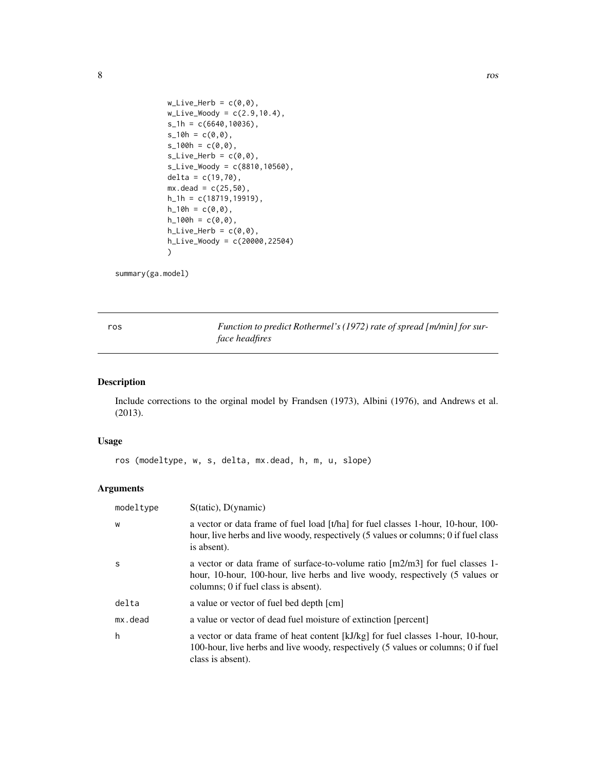```
w_Live_Herb = c(\theta, \theta),
w_Live_Woody = c(2.9, 10.4),
s_1h = c(6640,10036),
s_10h = c(0,0),
s_100h = c(0,0),
s_Live_Herb = c(\emptyset, \emptyset),
s_Live_Woody = c(8810,10560),
delta = c(19, 70),
mx. dead = c(25,50),
h_1h = c(18719,19919),
h_10h = c(0,0),
h_100h = c(0,0),
h_Live_Herb = c(\emptyset, \emptyset),
h_Live_Woody = c(20000,22504)
)
```

```
summary(ga.model)
```
<span id="page-7-1"></span>ros *Function to predict Rothermel's (1972) rate of spread [m/min] for surface headfires*

#### Description

Include corrections to the orginal model by Frandsen (1973), Albini (1976), and Andrews et al. (2013).

#### Usage

ros (modeltype, w, s, delta, mx.dead, h, m, u, slope)

#### Arguments

| modeltype   | $S(tatic)$ , $D($ ynamic $)$                                                                                                                                                                             |
|-------------|----------------------------------------------------------------------------------------------------------------------------------------------------------------------------------------------------------|
| W           | a vector or data frame of fuel load [t/ha] for fuel classes 1-hour, 10-hour, 100-<br>hour, live herbs and live woody, respectively (5 values or columns; 0 if fuel class<br>is absent).                  |
| S           | a vector or data frame of surface-to-volume ratio $[m2/m3]$ for fuel classes 1-<br>hour, 10-hour, 100-hour, live herbs and live woody, respectively (5 values or<br>columns; 0 if fuel class is absent). |
| delta       | a value or vector of fuel bed depth [cm]                                                                                                                                                                 |
| $mx$ . dead | a value or vector of dead fuel moisture of extinction [percent]                                                                                                                                          |
| h           | a vector or data frame of heat content [kJ/kg] for fuel classes 1-hour, 10-hour,<br>100-hour, live herbs and live woody, respectively (5 values or columns; 0 if fuel<br>class is absent).               |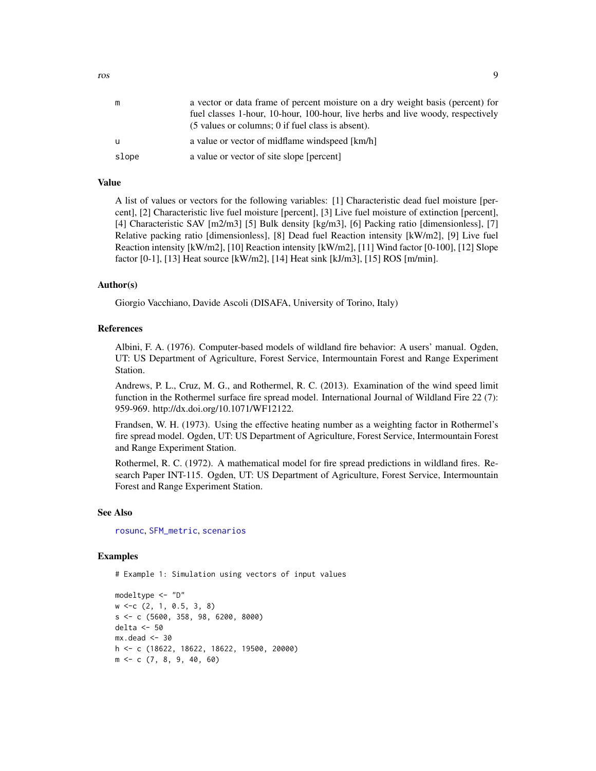<span id="page-8-0"></span>

|       | a vector or data frame of percent moisture on a dry weight basis (percent) for<br>fuel classes 1-hour, 10-hour, 100-hour, live herbs and live woody, respectively<br>$(5 \text{ values or columns}; 0 \text{ if fuel class is absent}).$ |
|-------|------------------------------------------------------------------------------------------------------------------------------------------------------------------------------------------------------------------------------------------|
| u     | a value or vector of midflame windspeed [km/h]                                                                                                                                                                                           |
| slope | a value or vector of site slope [percent]                                                                                                                                                                                                |

#### Value

A list of values or vectors for the following variables: [1] Characteristic dead fuel moisture [percent], [2] Characteristic live fuel moisture [percent], [3] Live fuel moisture of extinction [percent], [4] Characteristic SAV [m2/m3] [5] Bulk density [kg/m3], [6] Packing ratio [dimensionless], [7] Relative packing ratio [dimensionless], [8] Dead fuel Reaction intensity [kW/m2], [9] Live fuel Reaction intensity [kW/m2], [10] Reaction intensity [kW/m2], [11] Wind factor [0-100], [12] Slope factor [0-1], [13] Heat source [kW/m2], [14] Heat sink [kJ/m3], [15] ROS [m/min].

#### Author(s)

Giorgio Vacchiano, Davide Ascoli (DISAFA, University of Torino, Italy)

#### References

Albini, F. A. (1976). Computer-based models of wildland fire behavior: A users' manual. Ogden, UT: US Department of Agriculture, Forest Service, Intermountain Forest and Range Experiment Station.

Andrews, P. L., Cruz, M. G., and Rothermel, R. C. (2013). Examination of the wind speed limit function in the Rothermel surface fire spread model. International Journal of Wildland Fire 22 (7): 959-969. http://dx.doi.org/10.1071/WF12122.

Frandsen, W. H. (1973). Using the effective heating number as a weighting factor in Rothermel's fire spread model. Ogden, UT: US Department of Agriculture, Forest Service, Intermountain Forest and Range Experiment Station.

Rothermel, R. C. (1972). A mathematical model for fire spread predictions in wildland fires. Research Paper INT-115. Ogden, UT: US Department of Agriculture, Forest Service, Intermountain Forest and Range Experiment Station.

#### See Also

[rosunc](#page-11-1), [SFM\\_metric](#page-15-1), [scenarios](#page-14-1)

#### Examples

# Example 1: Simulation using vectors of input values

```
modeltype <- "D"
w <-c (2, 1, 0.5, 3, 8)
s <- c (5600, 358, 98, 6200, 8000)
delta <- 50
mx. dead < -30h <- c (18622, 18622, 18622, 19500, 20000)
m <- c (7, 8, 9, 40, 60)
```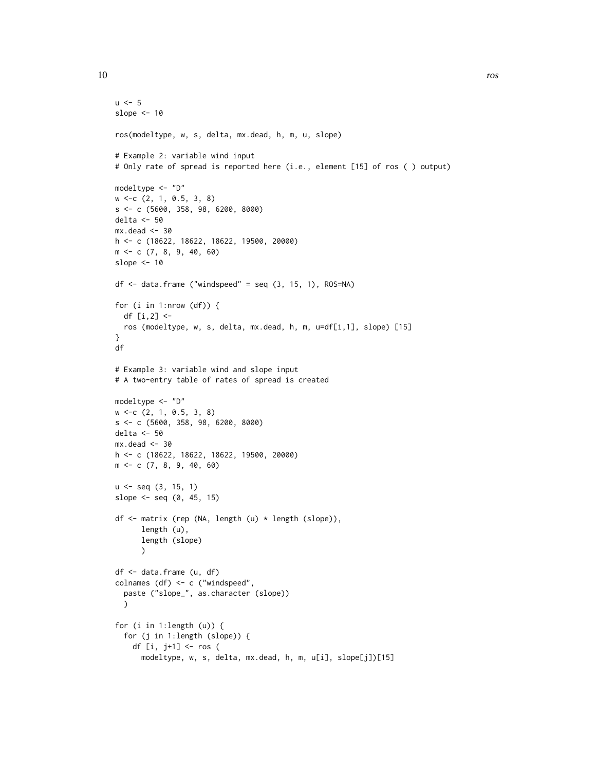}

```
u < -5slope <-10ros(modeltype, w, s, delta, mx.dead, h, m, u, slope)
# Example 2: variable wind input
# Only rate of spread is reported here (i.e., element [15] of ros ( ) output)
modeltype <- "D"
w <-c (2, 1, 0.5, 3, 8)
s <- c (5600, 358, 98, 6200, 8000)
delta <- 50
mx.dead < -30h <- c (18622, 18622, 18622, 19500, 20000)
m <- c (7, 8, 9, 40, 60)
slope <- 10
df <- data.frame ("windspeed" = seq (3, 15, 1), ROS=NA)
for (i in 1:nrow (df)) {
  df [i,2] <-
  ros (modeltype, w, s, delta, mx.dead, h, m, u=df[i,1], slope) [15]
df
# Example 3: variable wind and slope input
# A two-entry table of rates of spread is created
modeltype <- "D"
w <-c (2, 1, 0.5, 3, 8)
s <- c (5600, 358, 98, 6200, 8000)
delta <- 50
mx.dead < -30h <- c (18622, 18622, 18622, 19500, 20000)
m <- c (7, 8, 9, 40, 60)
u \leq - seq (3, 15, 1)slope \le seq (0, 45, 15)
df <- matrix (rep (NA, length (u) * length (slope)),
      length (u),
      length (slope)
      )
df <- data.frame (u, df)
colnames (df) <- c ("windspeed",
  paste ("slope_", as.character (slope))
  )
```

```
for (i in 1:length (u)) {
 for (j in 1:length (slope)) {
   df [i, j+1] <- ros (
     modeltype, w, s, delta, mx.dead, h, m, u[i], slope[j])[15]
```
10 ros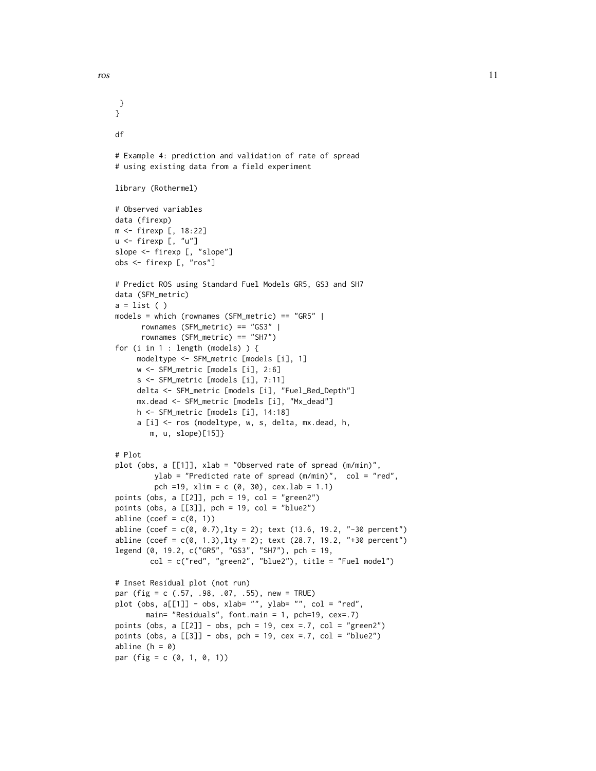} }

```
df
# Example 4: prediction and validation of rate of spread
# using existing data from a field experiment
library (Rothermel)
# Observed variables
data (firexp)
m <- firexp [, 18:22]
u <- firexp [, "u"]
slope <- firexp [, "slope"]
obs <- firexp [, "ros"]
# Predict ROS using Standard Fuel Models GR5, GS3 and SH7
data (SFM_metric)
a = list()models = which (rownames (SFM_metric) == "GR5" |
      rownames (SFM_metric) == "GS3" |
      rownames (SFM_metric) == "SH7")
for (i in 1 : length (models) ) {
     modeltype <- SFM_metric [models [i], 1]
     w <- SFM_metric [models [i], 2:6]
     s <- SFM_metric [models [i], 7:11]
     delta <- SFM_metric [models [i], "Fuel_Bed_Depth"]
     mx.dead <- SFM_metric [models [i], "Mx_dead"]
    h <- SFM_metric [models [i], 14:18]
     a [i] <- ros (modeltype, w, s, delta, mx.dead, h,
        m, u, slope)[15]}
# Plot
plot (obs, a [[1]], xlab = "Observed rate of spread (m/min)",
         ylab = "Predicted rate of spread (m/min)", col = "red",
         pch =19, xlim = c (0, 30), cex.lab = 1.1)
points (obs, a [[2]], pch = 19, col = "green2")
points (obs, a [[3]], pch = 19, col = "blue2")
abline (coef = c(\emptyset, 1))
abline (coef = c(0, 0.7), lty = 2); text (13.6, 19.2, "-30 percent")
abline (coef = c(0, 1.3), lty = 2); text (28.7, 19.2, "+30 percent")
legend (0, 19.2, c("GR5", "GS3", "SH7"), pch = 19,
        col = c("red", "green2", "blue2"), title = "Fuel model")# Inset Residual plot (not run)
par (fig = c (.57, .98, .07, .55), new = TRUE)
plot (obs, a[[1]] - obs, xlab= "", ylab= "", col = "red",
       main= "Residuals", font.main = 1, pch=19, cex=.7)
points (obs, a [[2]] - obs, pch = 19, cex = .7, col = "green2")
points (obs, a [[3]] - obs, pch = 19, cex = .7, col = "blue2")
abline (h = 0)
par (fig = c (0, 1, 0, 1))
```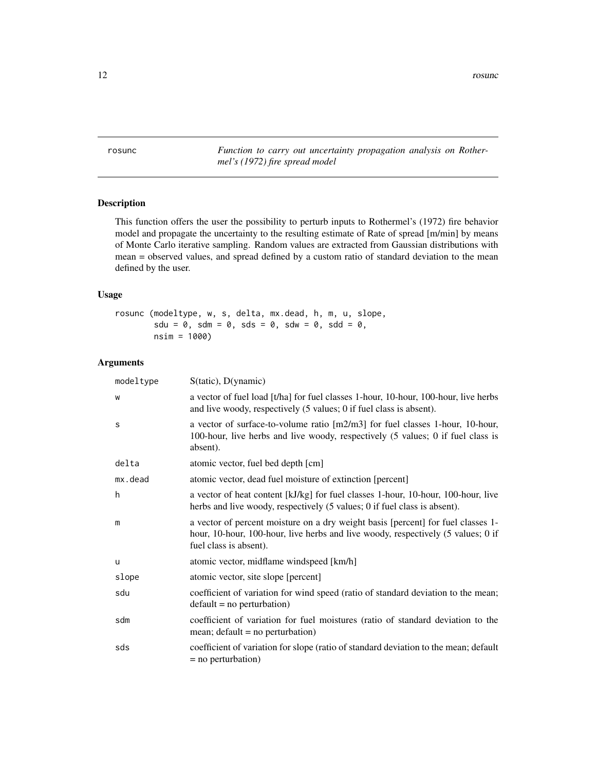<span id="page-11-1"></span><span id="page-11-0"></span>rosunc *Function to carry out uncertainty propagation analysis on Rothermel's (1972) fire spread model*

#### Description

This function offers the user the possibility to perturb inputs to Rothermel's (1972) fire behavior model and propagate the uncertainty to the resulting estimate of Rate of spread [m/min] by means of Monte Carlo iterative sampling. Random values are extracted from Gaussian distributions with mean = observed values, and spread defined by a custom ratio of standard deviation to the mean defined by the user.

#### Usage

rosunc (modeltype, w, s, delta, mx.dead, h, m, u, slope,  $sdu = 0$ ,  $sdm = 0$ ,  $sds = 0$ ,  $sdw = 0$ ,  $sdd = 0$ , nsim = 1000)

#### Arguments

| modeltype | $S(tatic)$ , $D($ ynamic $)$                                                                                                                                                                   |
|-----------|------------------------------------------------------------------------------------------------------------------------------------------------------------------------------------------------|
| W         | a vector of fuel load [t/ha] for fuel classes 1-hour, 10-hour, 100-hour, live herbs<br>and live woody, respectively (5 values; 0 if fuel class is absent).                                     |
| S         | a vector of surface-to-volume ratio $[m2/m3]$ for fuel classes 1-hour, 10-hour,<br>100-hour, live herbs and live woody, respectively (5 values; 0 if fuel class is<br>absent).                 |
| delta     | atomic vector, fuel bed depth [cm]                                                                                                                                                             |
| mx.dead   | atomic vector, dead fuel moisture of extinction [percent]                                                                                                                                      |
| h         | a vector of heat content [kJ/kg] for fuel classes 1-hour, 10-hour, 100-hour, live<br>herbs and live woody, respectively (5 values; 0 if fuel class is absent).                                 |
| m         | a vector of percent moisture on a dry weight basis [percent] for fuel classes 1-<br>hour, 10-hour, 100-hour, live herbs and live woody, respectively (5 values; 0 if<br>fuel class is absent). |
| u         | atomic vector, midflame windspeed [km/h]                                                                                                                                                       |
| slope     | atomic vector, site slope [percent]                                                                                                                                                            |
| sdu       | coefficient of variation for wind speed (ratio of standard deviation to the mean;<br>$default = no perturbation)$                                                                              |
| sdm       | coefficient of variation for fuel moistures (ratio of standard deviation to the<br>mean; $default = no perturbation)$                                                                          |
| sds       | coefficient of variation for slope (ratio of standard deviation to the mean; default<br>$=$ no perturbation)                                                                                   |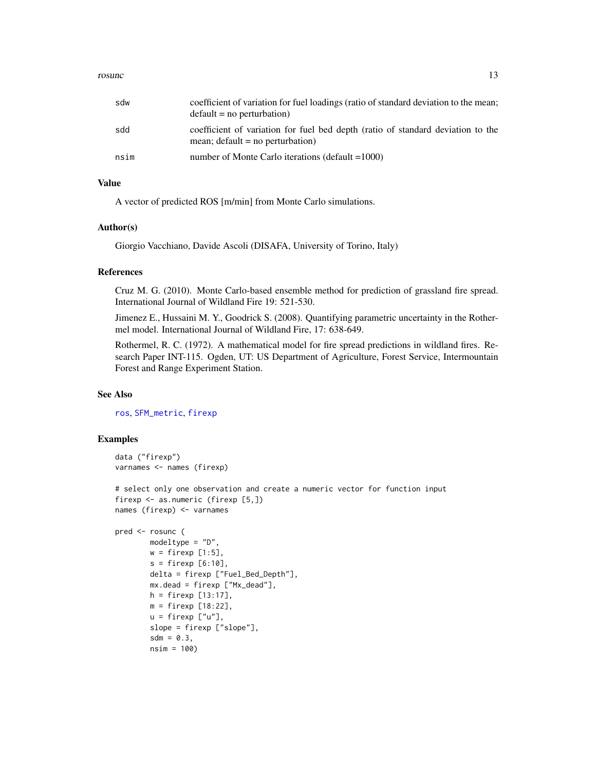#### <span id="page-12-0"></span>rosunce the contract of the contract of the contract of the contract of the contract of the contract of the contract of the contract of the contract of the contract of the contract of the contract of the contract of the co

| sdw  | coefficient of variation for fuel loadings (ratio of standard deviation to the mean;<br>$default = no perturbation)$  |
|------|-----------------------------------------------------------------------------------------------------------------------|
| sdd  | coefficient of variation for fuel bed depth (ratio of standard deviation to the<br>mean; $default = no perturbation)$ |
| nsim | number of Monte Carlo iterations (default $=1000$ )                                                                   |

#### Value

A vector of predicted ROS [m/min] from Monte Carlo simulations.

#### Author(s)

Giorgio Vacchiano, Davide Ascoli (DISAFA, University of Torino, Italy)

#### References

Cruz M. G. (2010). Monte Carlo-based ensemble method for prediction of grassland fire spread. International Journal of Wildland Fire 19: 521-530.

Jimenez E., Hussaini M. Y., Goodrick S. (2008). Quantifying parametric uncertainty in the Rothermel model. International Journal of Wildland Fire, 17: 638-649.

Rothermel, R. C. (1972). A mathematical model for fire spread predictions in wildland fires. Research Paper INT-115. Ogden, UT: US Department of Agriculture, Forest Service, Intermountain Forest and Range Experiment Station.

#### See Also

[ros](#page-7-1), [SFM\\_metric](#page-15-1), [firexp](#page-2-1)

#### Examples

```
data ("firexp")
varnames <- names (firexp)
# select only one observation and create a numeric vector for function input
firexp <- as.numeric (firexp [5,])
names (firexp) <- varnames
pred <- rosunc (
       modeltype = "D",
       w = \text{firexp} [1:5],
        s = firexp [6:10],delta = firexp ["Fuel_Bed_Depth"],
       mx.dead = firexp ["Mx_dead"],
       h = firexp [13:17],
       m = firexp [18:22],
```
 $u = \text{firexp}$   $[u'']$ , slope = firexp ["slope"],  $sdm = 0.3$ , nsim = 100)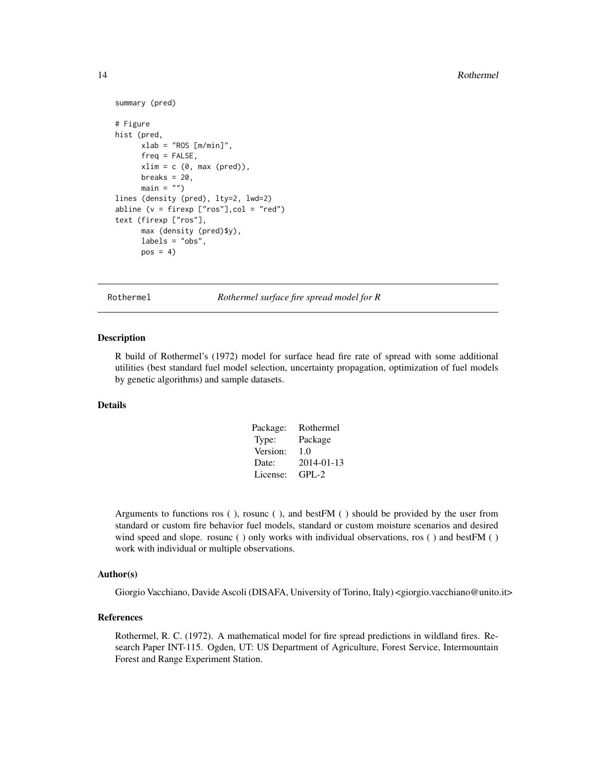```
summary (pred)
# Figure
hist (pred,
     xlab = "ROS [m/min]",freq = FALSE,
     xlim = c (0, max (pred)),
     breaks = 20,
     main = "")lines (density (pred), lty=2, lwd=2)
abline (v = firexp ["ros"],col = "red")
text (firexp ["ros"],
     max (density (pred)$y),
     labels = "obs",
     pos = 4
```
Rothermel *Rothermel surface fire spread model for R*

#### Description

R build of Rothermel's (1972) model for surface head fire rate of spread with some additional utilities (best standard fuel model selection, uncertainty propagation, optimization of fuel models by genetic algorithms) and sample datasets.

#### Details

| Package: | Rothermel  |
|----------|------------|
| Type:    | Package    |
| Version: | 1.0        |
| Date:    | 2014-01-13 |
| License: | $GPI - 2$  |

Arguments to functions ros ( ), rosunc ( ), and bestFM ( ) should be provided by the user from standard or custom fire behavior fuel models, standard or custom moisture scenarios and desired wind speed and slope. rosunc () only works with individual observations, ros () and bestFM () work with individual or multiple observations.

#### Author(s)

Giorgio Vacchiano, Davide Ascoli (DISAFA, University of Torino, Italy) <giorgio.vacchiano@unito.it>

#### References

Rothermel, R. C. (1972). A mathematical model for fire spread predictions in wildland fires. Research Paper INT-115. Ogden, UT: US Department of Agriculture, Forest Service, Intermountain Forest and Range Experiment Station.

<span id="page-13-0"></span>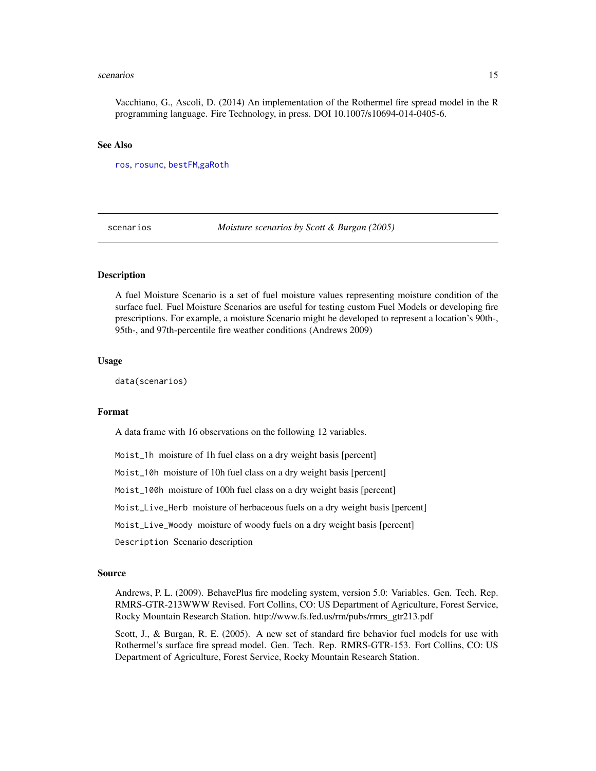#### <span id="page-14-0"></span>scenarios and the set of the set of the set of the set of the set of the set of the set of the set of the set of the set of the set of the set of the set of the set of the set of the set of the set of the set of the set of

Vacchiano, G., Ascoli, D. (2014) An implementation of the Rothermel fire spread model in the R programming language. Fire Technology, in press. DOI 10.1007/s10694-014-0405-6.

#### See Also

[ros](#page-7-1), [rosunc](#page-11-1), [bestFM](#page-1-1),[gaRoth](#page-4-1)

<span id="page-14-1"></span>scenarios *Moisture scenarios by Scott & Burgan (2005)*

#### **Description**

A fuel Moisture Scenario is a set of fuel moisture values representing moisture condition of the surface fuel. Fuel Moisture Scenarios are useful for testing custom Fuel Models or developing fire prescriptions. For example, a moisture Scenario might be developed to represent a location's 90th-, 95th-, and 97th-percentile fire weather conditions (Andrews 2009)

#### Usage

data(scenarios)

#### Format

A data frame with 16 observations on the following 12 variables.

Moist\_1h moisture of 1h fuel class on a dry weight basis [percent]

Moist\_10h moisture of 10h fuel class on a dry weight basis [percent]

Moist\_100h moisture of 100h fuel class on a dry weight basis [percent]

Moist\_Live\_Herb moisture of herbaceous fuels on a dry weight basis [percent]

Moist\_Live\_Woody moisture of woody fuels on a dry weight basis [percent]

Description Scenario description

#### Source

Andrews, P. L. (2009). BehavePlus fire modeling system, version 5.0: Variables. Gen. Tech. Rep. RMRS-GTR-213WWW Revised. Fort Collins, CO: US Department of Agriculture, Forest Service, Rocky Mountain Research Station. http://www.fs.fed.us/rm/pubs/rmrs\_gtr213.pdf

Scott, J., & Burgan, R. E. (2005). A new set of standard fire behavior fuel models for use with Rothermel's surface fire spread model. Gen. Tech. Rep. RMRS-GTR-153. Fort Collins, CO: US Department of Agriculture, Forest Service, Rocky Mountain Research Station.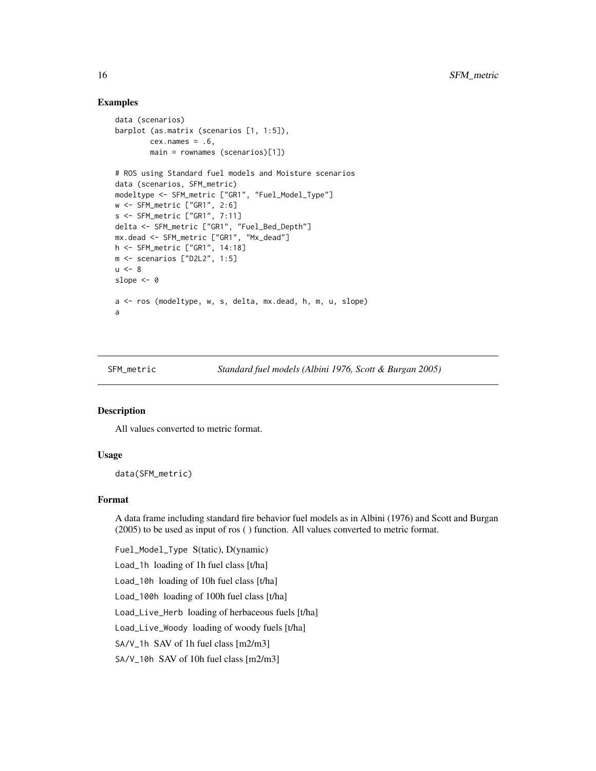#### Examples

```
data (scenarios)
barplot (as.matrix (scenarios [1, 1:5]),
       cex.name = .6,
        main = rownames (scenarios)[1])
# ROS using Standard fuel models and Moisture scenarios
data (scenarios, SFM_metric)
modeltype <- SFM_metric ["GR1", "Fuel_Model_Type"]
w <- SFM_metric ["GR1", 2:6]
s <- SFM_metric ["GR1", 7:11]
delta <- SFM_metric ["GR1", "Fuel_Bed_Depth"]
mx.dead <- SFM_metric ["GR1", "Mx_dead"]
h <- SFM_metric ["GR1", 14:18]
m <- scenarios ["D2L2", 1:5]
u < -8slope <-0a <- ros (modeltype, w, s, delta, mx.dead, h, m, u, slope)
a
```
<span id="page-15-1"></span>SFM\_metric *Standard fuel models (Albini 1976, Scott & Burgan 2005)*

#### Description

All values converted to metric format.

#### Usage

data(SFM\_metric)

#### Format

A data frame including standard fire behavior fuel models as in Albini (1976) and Scott and Burgan (2005) to be used as input of ros ( ) function. All values converted to metric format.

Fuel\_Model\_Type S(tatic), D(ynamic) Load\_1h loading of 1h fuel class [t/ha] Load\_10h loading of 10h fuel class [t/ha] Load\_100h loading of 100h fuel class [t/ha] Load\_Live\_Herb loading of herbaceous fuels [t/ha] Load\_Live\_Woody loading of woody fuels [t/ha] SA/V\_1h SAV of 1h fuel class [m2/m3] SA/V\_10h SAV of 10h fuel class [m2/m3]

<span id="page-15-0"></span>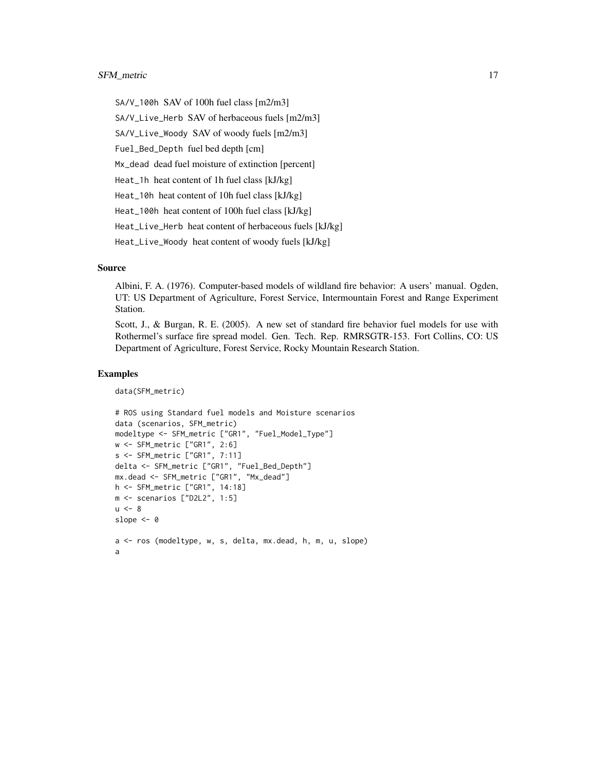#### SFM\_metric 17

SA/V\_100h SAV of 100h fuel class [m2/m3] SA/V\_Live\_Herb SAV of herbaceous fuels [m2/m3] SA/V\_Live\_Woody SAV of woody fuels [m2/m3] Fuel\_Bed\_Depth fuel bed depth [cm] Mx\_dead dead fuel moisture of extinction [percent] Heat\_1h heat content of 1h fuel class [kJ/kg] Heat\_10h heat content of 10h fuel class [kJ/kg] Heat\_100h heat content of 100h fuel class [kJ/kg] Heat\_Live\_Herb heat content of herbaceous fuels [kJ/kg] Heat\_Live\_Woody heat content of woody fuels [kJ/kg]

#### Source

Albini, F. A. (1976). Computer-based models of wildland fire behavior: A users' manual. Ogden, UT: US Department of Agriculture, Forest Service, Intermountain Forest and Range Experiment Station.

Scott, J., & Burgan, R. E. (2005). A new set of standard fire behavior fuel models for use with Rothermel's surface fire spread model. Gen. Tech. Rep. RMRSGTR-153. Fort Collins, CO: US Department of Agriculture, Forest Service, Rocky Mountain Research Station.

#### Examples

```
data(SFM_metric)
```

```
# ROS using Standard fuel models and Moisture scenarios
data (scenarios, SFM_metric)
modeltype <- SFM_metric ["GR1", "Fuel_Model_Type"]
w <- SFM_metric ["GR1", 2:6]
s <- SFM_metric ["GR1", 7:11]
delta <- SFM_metric ["GR1", "Fuel_Bed_Depth"]
mx.dead <- SFM_metric ["GR1", "Mx_dead"]
h <- SFM_metric ["GR1", 14:18]
m <- scenarios ["D2L2", 1:5]
u < - 8slope <- 0
a <- ros (modeltype, w, s, delta, mx.dead, h, m, u, slope)
a
```